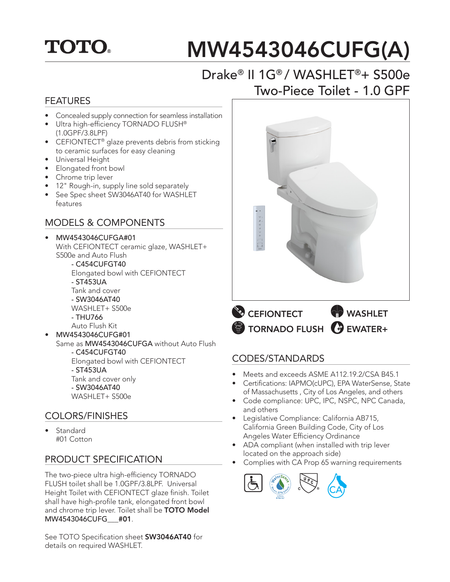## **TOTO.**

# MW4543046CUFG(A)

## Drake® II 1G® / WASHLET®+ S500e Two-Piece Toilet - 1.0 GPF

#### FEATURES

- Concealed supply connection for seamless installation
- Ultra high-efficiency TORNADO FLUSH® (1.0GPF/3.8LPF)
- CEFIONTECT<sup>®</sup> glaze prevents debris from sticking to ceramic surfaces for easy cleaning
- Universal Height
- Elongated front bowl
- Chrome trip lever
- 12" Rough-in, supply line sold separately
- See Spec sheet SW3046AT40 for WASHLET features

#### MODELS & COMPONENTS

#### • MW4543046CUFGA#01 With CEFIONTECT ceramic glaze, WASHLET+ S500e and Auto Flush

 - C454CUFGT40 Elongated bowl with CEFIONTECT - ST453UA Tank and cover - SW3046AT40 WASHLET+ S500e

- THU766
- Auto Flush Kit
- MW4543046CUFG#01 Same as MW4543046CUFGA without Auto Flush - C454CUFGT40 Elongated bowl with CEFIONTECT - ST453UA Tank and cover only - SW3046AT40 WASHLET+ S500e

#### COLORS/FINISHES

• Standard #01 Cotton

#### PRODUCT SPECIFICATION

The two-piece ultra high-efficiency TORNADO FLUSH toilet shall be 1.0GPF/3.8LPF. Universal Height Toilet with CEFIONTECT glaze finish. Toilet shall have high-profile tank, elongated front bowl and chrome trip lever. Toilet shall be TOTO Model MW4543046CUFG\_\_\_#01.

See TOTO Specification sheet SW3046AT40 for details on required WASHLET.



TORNADO FLUSH GUEWATER+

#### CODES/STANDARDS

- Meets and exceeds ASME A112.19.2/CSA B45.1
- Certifications: IAPMO(cUPC), EPA WaterSense, State of Massachusetts , City of Los Angeles, and others
- Code compliance: UPC, IPC, NSPC, NPC Canada, and others
- Legislative Compliance: California AB715, California Green Building Code, City of Los Angeles Water Efficiency Ordinance
- ADA compliant (when installed with trip lever located on the approach side)
- Complies with CA Prop 65 warning requirements